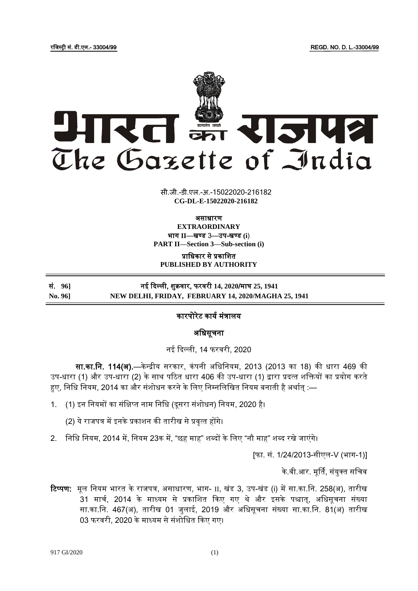रजिस्ट्री सं. डी.एल.- 33004/99 REGD. NO. D. L.-33004/99



सी.जी.-डी.एल.-अ.-15022020-216182 **xxxGIDExxx CG-DL-E-15022020-216182**

असाधारण

**EXTRAORDINARY** भाग II-बण्ड 3-उप-खण्ड (i) **PART II—Section 3—Sub-section (i)**

प्राजधकार से प्रकाजित **PUBLISHED BY AUTHORITY**

# सं. **96]** नई दिल्ली, िुक्रवार, फरवरी **14, 2020**/माघ **25, 1941 No. 96] NEW DELHI, FRIDAY, FEBRUARY 14, 2020/MAGHA 25, 1941**

# कारपोरेट कार्य मंत्रालर्

## अजधसूचना

नई दिल्ली, 14 फरवरी, 2020

सा.का.नि. 114(अ).—केन्द्रीय सरकार, कंपनी अधिनियम, 2013 (2013 का 18) की धारा 469 की उप-धारा (1) और उप-धारा (2) के साथ पठित धारा 406 की उप-धारा (1) द्वारा प्रदत्त शक्तियों का प्रयोग करते हुए, निधि नियम, 2014 का और संशोधन करने के लिए निम्नलिखित नियम बनाती है अर्थात :—

1. (1) इन नियमों का संक्षिप्त नाम निधि (दूसरा संशोधन) नियम, 2020 है।

(2) ये राजपत्र में इनके प्रकाशन की तारीख से प्रवृत्त होंगे।

2. निधि नियम, 2014 में, नियम 23क में, "छह माह" शब्दों के लिए "नौ माह" शब्द रखे जाएंगे।

[फा. सं. 1/24/2013-सीएल-V (भाग-1)]

के.वी.आर. मूर्ति, संयुक्त सचिव

**टिप्पण:** मूल नियम भारत के राजपत्र, असाधारण, भाग- II, खंड 3, उप-खंड (i) में सा.का.नि. 258(अ), तारीख 31 मार्च, 2014 के माध्यम से प्रकाशित किए गए थे और इसके पश्चात्, अधिसूचना संख्या सा.का.नि. 467(अ), तारीख 01 जुलाई, 2019 और अधिसूचना संख्या सा.का.नि. 81(अ) तारीख 03 फरवरी, 2020 के माध्यम से संशोधित किए गए।